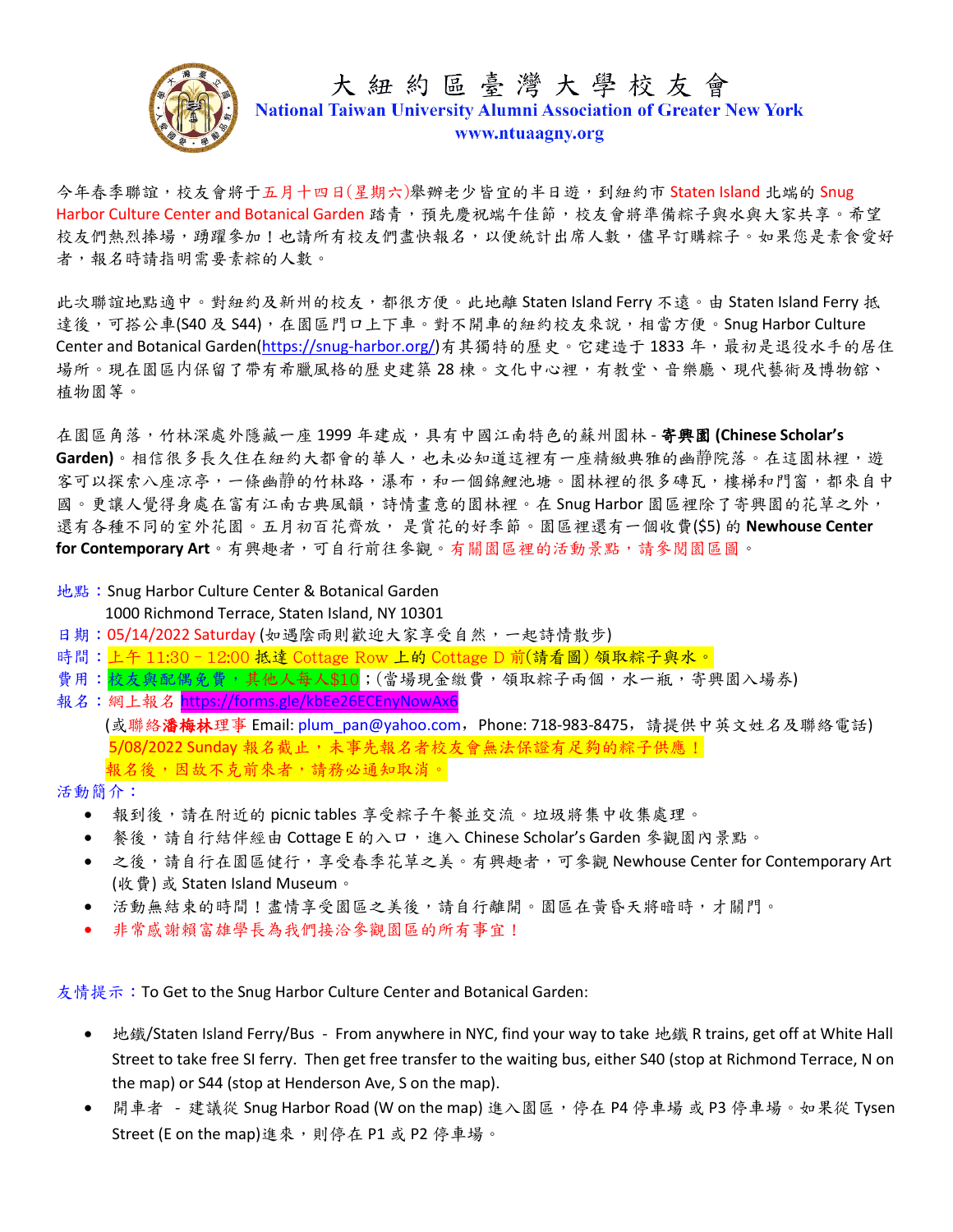

# 大紐約區臺灣大學校友會 **National Taiwan University Alumni Association of Greater New York** www.ntuaagny.org

今年春季聯誼,校友會將于五月十四日(星期六)舉辦老少皆宜的半日遊,到紐約市 Staten Island 北端的 Snug Harbor Culture Center and Botanical Garden 踏青,預先慶祝端午佳節,校友會將準備粽子與水與大家共享。希望 校友們熱烈捧場,踴躍參加!也請所有校友們盡快報名,以便統計出席人數,儘早訂購粽子。如果您是素食愛好 者,報名時請指明需要素粽的人數。

此次聯誼地點適中。對紐約及新州的校友,都很方便。此地離 Staten Island Ferry 不遠。由 Staten Island Ferry 抵 達後,可搭公車(S40 及 S44),在園區門口上下車。對不開車的紐約校友來說,相當方便。Snug Harbor Culture Center and Botanical Garden[\(https://snug-harbor.org/\)](https://snug-harbor.org/)有其獨特的歷史。它建造于 1833 年,最初是退役水手的居住 場所。現在園區内保留了帶有希臘風格的歷史建築 28 棟。文化中心裡,有教堂、音樂廳、現代藝術及博物舘、 植物園等。

在園區角落,竹林深處外隱藏一座 1999 年建成,具有中國江南特色的蘇州園林 - 寄興園 **(Chinese Scholar's**  Garden)。相信很多長久住在紐約大都會的華人,也未必知道這裡有一座精緻典雅的幽靜院落。在這園林裡,遊 客可以探索八座凉亭,一條幽靜的竹林路,瀑布,和一個錦鯉池塘。園林裡的很多磚瓦,樓梯和門窗,都來自中 國。更讓人覺得身處在富有江南古典風韻,詩情畫意的園林裡。在 Snug Harbor 園區裡除了寄興園的花草之外, 還有各種不同的室外花園。五月初百花齊放, 是賞花的好季節。園區裡還有一個收費(\$5) 的 **Newhouse Center for Contemporary Art**。有興趣者,可自行前往參觀。有關園區裡的活動景點,請參閱園區圖。

- 地點:Snug Harbor Culture Center & Botanical Garden 1000 Richmond Terrace, Staten Island, NY 10301
- 日期:05/14/2022 Saturday (如遇陰雨則歡迎大家享受自然,一起詩情散步)
- 時間:上午 11:30–12:00 抵達 Cottage Row 上的 Cottage D 前(請看圖) 領取粽子與水。
- 費用:枝友與配偶免費,其他人每人\$10;(當場現金繳費,領取粽子兩個,水一瓶,寄興園入場券)
- 報名:網上報名 <https://forms.gle/kbEe26ECEnyNowAx6> (或聯絡**潘梅林**理事 Email: plum\_pan@yahoo.com,Phone: 718-983-8475,請提供中英文姓名及聯絡電話) 5/08/2022 Sunday 報名截止,未事先報名者校友會無法保證有足夠的綜子供應! 報名後,因故不克前來者,請務必通知取消。

活動簡介:

- 報到後,請在附近的 picnic tables 享受粽子午餐並交流。垃圾將集中收集處理。
- 餐後,請自行結伴經由 Cottage E 的入口,進入 Chinese Scholar's Garden 參觀園內景點。
- 之後,請自行在園區健行,享受春季花草之美。有興趣者,可參觀 Newhouse Center for Contemporary Art (收費) 或 Staten Island Museum。
- 活動無結束的時間!盡情享受園區之美後,請自行離開。園區在黃昏天將暗時,才關門。
- 非常感謝賴富雄學長為我們接洽參觀園區的所有事宜!

友情提示: To Get to the Snug Harbor Culture Center and Botanical Garden:

- 地鐵/Staten Island Ferry/Bus From anywhere in NYC, find your way to take 地鐵 R trains, get off at White Hall Street to take free SI ferry. Then get free transfer to the waiting bus, either S40 (stop at Richmond Terrace, N on the map) or S44 (stop at Henderson Ave, S on the map).
- 開車者 建議從 Snug Harbor Road (W on the map) 進入園區,停在 P4 停車場 或 P3 停車場。如果從 Tysen Street (E on the map)進來,則停在 P1 或 P2 停車場。